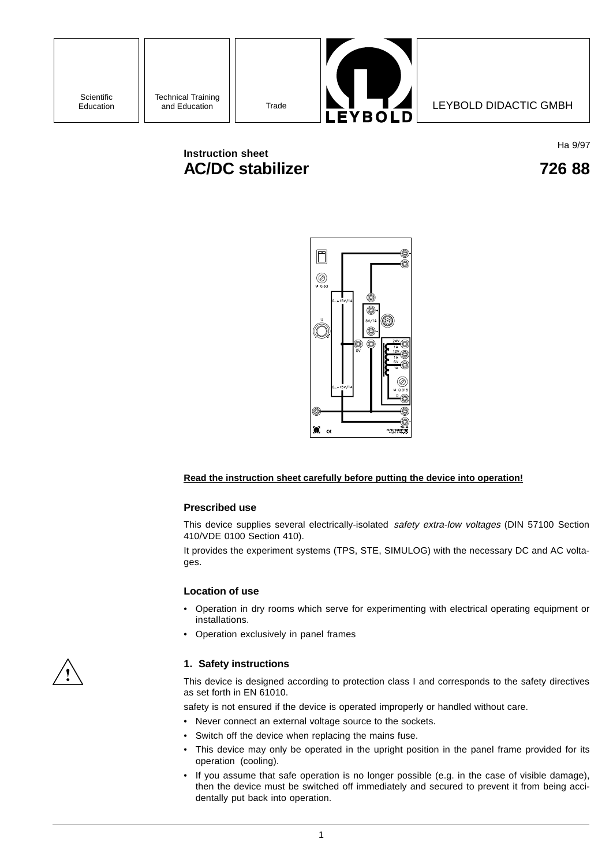

# **Instruction sheet AC/DC stabilizer 726 88**

Ha 9/97



## **Read the instruction sheet carefully before putting the device into operation!**

#### **Prescribed use**

This device supplies several electrically-isolated safety extra-low voltages (DIN 57100 Section 410/VDE 0100 Section 410).

It provides the experiment systems (TPS, STE, SIMULOG) with the necessary DC and AC voltages.

#### **Location of use**

- Operation in dry rooms which serve for experimenting with electrical operating equipment or installations.
- Operation exclusively in panel frames



## **1. Safety instructions**

This device is designed according to protection class I and corresponds to the safety directives as set forth in EN 61010.

safety is not ensured if the device is operated improperly or handled without care.

- Never connect an external voltage source to the sockets.
- Switch off the device when replacing the mains fuse.
- This device may only be operated in the upright position in the panel frame provided for its operation (cooling).
- If you assume that safe operation is no longer possible (e.g. in the case of visible damage), then the device must be switched off immediately and secured to prevent it from being accidentally put back into operation.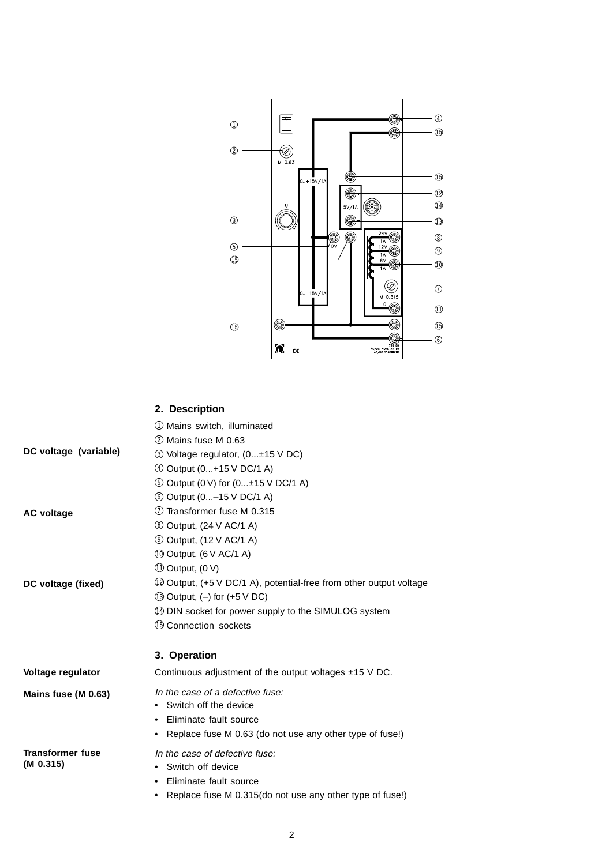

# **2. Description**

|                         | 1 Mains switch, illuminated                                        |
|-------------------------|--------------------------------------------------------------------|
|                         | 2 Mains fuse M 0.63                                                |
| DC voltage (variable)   | 3 Voltage regulator, (0±15 V DC)                                   |
|                         | 4 Output (0+15 V DC/1 A)                                           |
|                         | <b>① Output (0 V) for (0±15 V DC/1 A)</b>                          |
|                         | <b>6 Output (0-15 V DC/1 A)</b>                                    |
| <b>AC voltage</b>       | 7) Transformer fuse M 0.315                                        |
|                         | <b>8 Output, (24 V AC/1 A)</b>                                     |
|                         | <b>9 Output, (12 V AC/1 A)</b>                                     |
|                         | 10 Output, (6 V AC/1 A)                                            |
|                         | 10 Output, (0 V)                                                   |
| DC voltage (fixed)      | 12 Output, (+5 V DC/1 A), potential-free from other output voltage |
|                         | $(1)$ Output, $(-)$ for $(+5 \vee DC)$                             |
|                         | 4 DIN socket for power supply to the SIMULOG system                |
|                         | 19 Connection sockets                                              |
|                         | 3. Operation                                                       |
| Voltage regulator       | Continuous adjustment of the output voltages $±15$ V DC.           |
| Mains fuse (M 0.63)     | In the case of a defective fuse:                                   |
|                         | • Switch off the device                                            |
|                         | Eliminate fault source                                             |
|                         | Replace fuse M 0.63 (do not use any other type of fuse!)<br>٠      |
| <b>Transformer fuse</b> | In the case of defective fuse:                                     |
| (M 0.315)               | Switch off device<br>٠                                             |
|                         | Eliminate fault source                                             |
|                         | Replace fuse M 0.315(do not use any other type of fuse!)           |